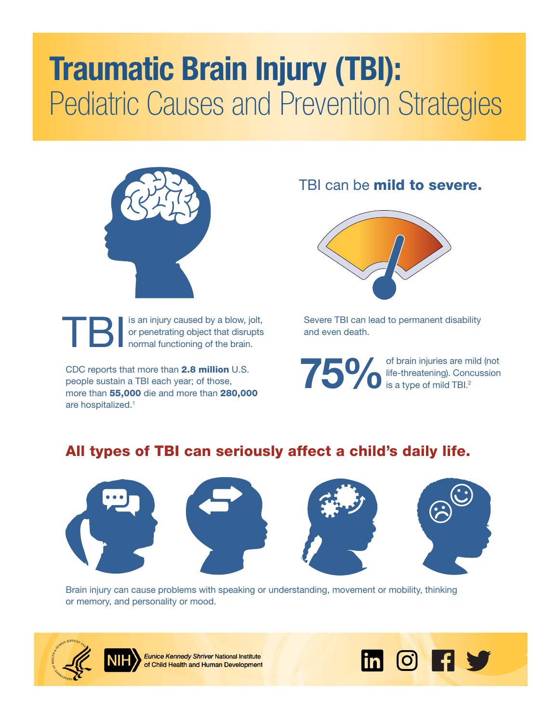# Traumatic Brain Injury (TBI): Pediatric Causes and Prevention Strategies



TBI is an injury caused by a blow, jolt,<br>or penetrating object that disrupts<br>normal functioning of the brain. or penetrating object that disrupts normal functioning of the brain.

CDC reports that more than 2.8 million U.S. people sustain a TBI each year; of those, more than 55,000 die and more than 280,000 are hospitalized.[1](#page-1-0)

TBI can be mild to severe.



Severe TBI can lead to permanent disability and even death.

of brain injuries are mild (not<br>life-threatening). Concussion<br>is a type of mild TBI.<sup>2</sup> life-threatening). Concussion is a type of mild TBI. $2$ 

## All types of TBI can seriously affect a child's daily life.



Brain injury can cause problems with speaking or understanding, movement or mobility, thinking or memory, and personality or mood.



**Eunice Kennedy Shriver National Institute** of Child Health and Human Development